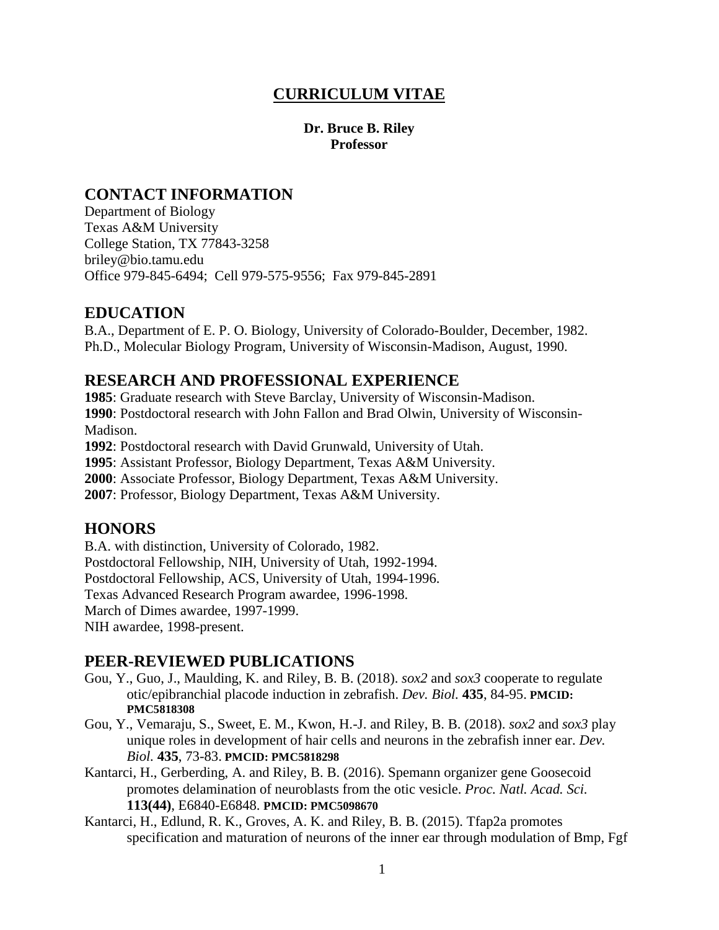# **CURRICULUM VITAE**

### **Dr. Bruce B. Riley Professor**

## **CONTACT INFORMATION**

Department of Biology Texas A&M University College Station, TX 77843-3258 briley@bio.tamu.edu Office 979-845-6494; Cell 979-575-9556; Fax 979-845-2891

## **EDUCATION**

B.A., Department of E. P. O. Biology, University of Colorado-Boulder, December, 1982. Ph.D., Molecular Biology Program, University of Wisconsin-Madison, August, 1990.

## **RESEARCH AND PROFESSIONAL EXPERIENCE**

**1985**: Graduate research with Steve Barclay, University of Wisconsin-Madison. **1990**: Postdoctoral research with John Fallon and Brad Olwin, University of Wisconsin-Madison.

**1992**: Postdoctoral research with David Grunwald, University of Utah.

**1995**: Assistant Professor, Biology Department, Texas A&M University.

**2000**: Associate Professor, Biology Department, Texas A&M University.

**2007**: Professor, Biology Department, Texas A&M University.

## **HONORS**

B.A. with distinction, University of Colorado, 1982. Postdoctoral Fellowship, NIH, University of Utah, 1992-1994. Postdoctoral Fellowship, ACS, University of Utah, 1994-1996. Texas Advanced Research Program awardee, 1996-1998. March of Dimes awardee, 1997-1999. NIH awardee, 1998-present.

## **PEER-REVIEWED PUBLICATIONS**

- Gou, Y., Guo, J., Maulding, K. and Riley, B. B. (2018). *sox2* and *sox3* cooperate to regulate otic/epibranchial placode induction in zebrafish. *Dev. Biol.* **435**, 84-95. **PMCID: PMC5818308**
- Gou, Y., Vemaraju, S., Sweet, E. M., Kwon, H.-J. and Riley, B. B. (2018). *sox2* and *sox3* play unique roles in development of hair cells and neurons in the zebrafish inner ear. *Dev. Biol.* **435**, 73-83. **PMCID: PMC5818298**
- Kantarci, H., Gerberding, A. and Riley, B. B. (2016). Spemann organizer gene Goosecoid promotes delamination of neuroblasts from the otic vesicle. *Proc. Natl. Acad. Sci.*  **113(44)**, E6840-E6848. **PMCID: PMC5098670**
- Kantarci, H., Edlund, R. K., Groves, A. K. and Riley, B. B. (2015). Tfap2a promotes specification and maturation of neurons of the inner ear through modulation of Bmp, Fgf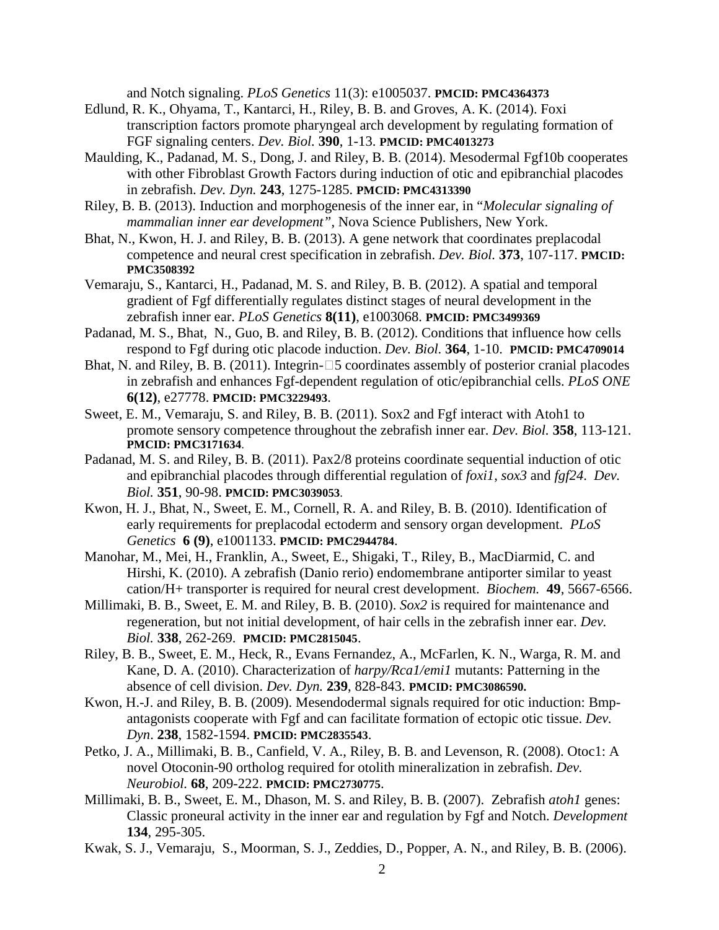and Notch signaling. *PLoS Genetics* 11(3): e1005037. **PMCID: PMC4364373**

- Edlund, R. K., Ohyama, T., Kantarci, H., Riley, B. B. and Groves, A. K. (2014). Foxi transcription factors promote pharyngeal arch development by regulating formation of FGF signaling centers. *Dev. Biol.* **390**, 1-13. **PMCID: PMC4013273**
- Maulding, K., Padanad, M. S., Dong, J. and Riley, B. B. (2014). Mesodermal Fgf10b cooperates with other Fibroblast Growth Factors during induction of otic and epibranchial placodes in zebrafish. *Dev. Dyn.* **243**, 1275-1285. **PMCID: PMC4313390**
- Riley, B. B. (2013). Induction and morphogenesis of the inner ear, in "*Molecular signaling of mammalian inner ear development"*, Nova Science Publishers, New York.
- Bhat, N., Kwon, H. J. and Riley, B. B. (2013). A gene network that coordinates preplacodal competence and neural crest specification in zebrafish. *Dev. Biol.* **373**, 107-117. **PMCID: PMC3508392**
- Vemaraju, S., Kantarci, H., Padanad, M. S. and Riley, B. B. (2012). A spatial and temporal gradient of Fgf differentially regulates distinct stages of neural development in the zebrafish inner ear. *PLoS Genetics* **8(11)**, e1003068. **PMCID: PMC3499369**
- Padanad, M. S., Bhat, N., Guo, B. and Riley, B. B. (2012). Conditions that influence how cells respond to Fgf during otic placode induction. *Dev. Biol.* **364**, 1-10. **PMCID: PMC4709014**
- Bhat, N. and Riley, B. B.  $(2011)$ . Integrin- $\square$ 5 coordinates assembly of posterior cranial placodes in zebrafish and enhances Fgf-dependent regulation of otic/epibranchial cells. *PLoS ONE* **6(12)**, e27778. **PMCID: PMC3229493**.
- Sweet, E. M., Vemaraju, S. and Riley, B. B. (2011). Sox2 and Fgf interact with Atoh1 to promote sensory competence throughout the zebrafish inner ear. *Dev. Biol.* **358**, 113-121. **PMCID: PMC3171634**.
- Padanad, M. S. and Riley, B. B. (2011). Pax2/8 proteins coordinate sequential induction of otic and epibranchial placodes through differential regulation of *foxi1*, *sox3* and *fgf24*. *Dev. Biol.* **351**, 90-98. **PMCID: PMC3039053**.
- Kwon, H. J., Bhat, N., Sweet, E. M., Cornell, R. A. and Riley, B. B. (2010). Identification of early requirements for preplacodal ectoderm and sensory organ development. *PLoS Genetics* **6 (9)**, e1001133. **PMCID: PMC2944784**.
- Manohar, M., Mei, H., Franklin, A., Sweet, E., Shigaki, T., Riley, B., MacDiarmid, C. and Hirshi, K. (2010). A zebrafish (Danio rerio) endomembrane antiporter similar to yeast cation/H+ transporter is required for neural crest development. *Biochem.* **49**, 5667-6566.
- Millimaki, B. B., Sweet, E. M. and Riley, B. B. (2010). *Sox2* is required for maintenance and regeneration, but not initial development, of hair cells in the zebrafish inner ear. *Dev. Biol.* **338**, 262-269. **PMCID: PMC2815045**.
- Riley, B. B., Sweet, E. M., Heck, R., Evans Fernandez, A., McFarlen, K. N., Warga, R. M. and Kane, D. A. (2010). Characterization of *harpy/Rca1/emi1* mutants: Patterning in the absence of cell division. *Dev. Dyn.* **239**, 828-843. **PMCID: PMC3086590.**
- Kwon, H.-J. and Riley, B. B. (2009). Mesendodermal signals required for otic induction: Bmpantagonists cooperate with Fgf and can facilitate formation of ectopic otic tissue. *Dev. Dyn*. **238**, 1582-1594. **PMCID: PMC2835543**.
- Petko, J. A., Millimaki, B. B., Canfield, V. A., Riley, B. B. and Levenson, R. (2008). Otoc1: A novel Otoconin-90 ortholog required for otolith mineralization in zebrafish. *Dev. Neurobiol.* **68**, 209-222. **PMCID: PMC2730775**.
- Millimaki, B. B., Sweet, E. M., Dhason, M. S. and Riley, B. B. (2007). Zebrafish *atoh1* genes: Classic proneural activity in the inner ear and regulation by Fgf and Notch. *Development*  **134**, 295-305.
- Kwak, S. J., Vemaraju, S., Moorman, S. J., Zeddies, D., Popper, A. N., and Riley, B. B. (2006).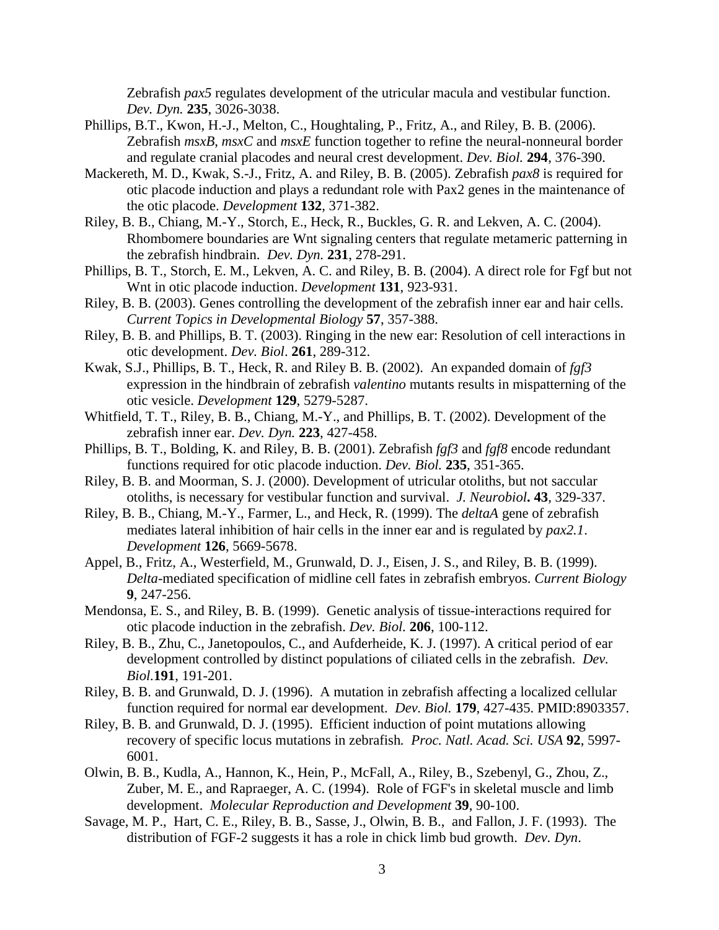Zebrafish *pax5* regulates development of the utricular macula and vestibular function. *Dev. Dyn.* **235**, 3026-3038.

- Phillips, B.T., Kwon, H.-J., Melton, C., Houghtaling, P., Fritz, A., and Riley, B. B. (2006). Zebrafish *msxB*, *msxC* and *msxE* function together to refine the neural-nonneural border and regulate cranial placodes and neural crest development. *Dev. Biol.* **294**, 376-390.
- Mackereth, M. D., Kwak, S.-J., Fritz, A. and Riley, B. B. (2005). Zebrafish *pax8* is required for otic placode induction and plays a redundant role with Pax2 genes in the maintenance of the otic placode. *Development* **132**, 371-382.
- Riley, B. B., Chiang, M.-Y., Storch, E., Heck, R., Buckles, G. R. and Lekven, A. C. (2004). Rhombomere boundaries are Wnt signaling centers that regulate metameric patterning in the zebrafish hindbrain. *Dev. Dyn.* **231**, 278-291.
- Phillips, B. T., Storch, E. M., Lekven, A. C. and Riley, B. B. (2004). A direct role for Fgf but not Wnt in otic placode induction. *Development* **131**, 923-931.
- Riley, B. B. (2003). Genes controlling the development of the zebrafish inner ear and hair cells. *Current Topics in Developmental Biology* **57**, 357-388.
- Riley, B. B. and Phillips, B. T. (2003). Ringing in the new ear: Resolution of cell interactions in otic development. *Dev. Biol*. **261**, 289-312.
- Kwak, S.J., Phillips, B. T., Heck, R. and Riley B. B. (2002). An expanded domain of *fgf3* expression in the hindbrain of zebrafish *valentino* mutants results in mispatterning of the otic vesicle. *Development* **129**, 5279-5287.
- Whitfield, T. T., Riley, B. B., Chiang, M.-Y., and Phillips, B. T. (2002). Development of the zebrafish inner ear. *Dev. Dyn.* **223**, 427-458.
- Phillips, B. T., Bolding, K. and Riley, B. B. (2001). Zebrafish *fgf3* and *fgf8* encode redundant functions required for otic placode induction. *Dev. Biol.* **235**, 351-365.
- Riley, B. B. and Moorman, S. J. (2000). Development of utricular otoliths, but not saccular otoliths, is necessary for vestibular function and survival. *J. Neurobiol***. 43**, 329-337.
- Riley, B. B., Chiang, M.-Y., Farmer, L., and Heck, R. (1999). The *deltaA* gene of zebrafish mediates lateral inhibition of hair cells in the inner ear and is regulated by *pax2.1*. *Development* **126**, 5669-5678.
- Appel, B., Fritz, A., Westerfield, M., Grunwald, D. J., Eisen, J. S., and Riley, B. B. (1999). *Delta*-mediated specification of midline cell fates in zebrafish embryos. *Current Biology* **9**, 247-256.
- Mendonsa, E. S., and Riley, B. B. (1999). Genetic analysis of tissue-interactions required for otic placode induction in the zebrafish. *Dev. Biol.* **206**, 100-112.
- Riley, B. B., Zhu, C., Janetopoulos, C., and Aufderheide, K. J. (1997). A critical period of ear development controlled by distinct populations of ciliated cells in the zebrafish. *Dev. Biol.***191**, 191-201.
- Riley, B. B. and Grunwald, D. J. (1996). A mutation in zebrafish affecting a localized cellular function required for normal ear development. *Dev. Biol.* **179**, 427-435. PMID:8903357.
- Riley, B. B. and Grunwald, D. J. (1995). Efficient induction of point mutations allowing recovery of specific locus mutations in zebrafish*. Proc. Natl. Acad. Sci. USA* **92**, 5997- 6001.
- Olwin, B. B., Kudla, A., Hannon, K., Hein, P., McFall, A., Riley, B., Szebenyl, G., Zhou, Z., Zuber, M. E., and Rapraeger, A. C. (1994). Role of FGF's in skeletal muscle and limb development. *Molecular Reproduction and Development* **39**, 90-100.
- Savage, M. P., Hart, C. E., Riley, B. B., Sasse, J., Olwin, B. B., and Fallon, J. F. (1993). The distribution of FGF-2 suggests it has a role in chick limb bud growth. *Dev. Dyn*.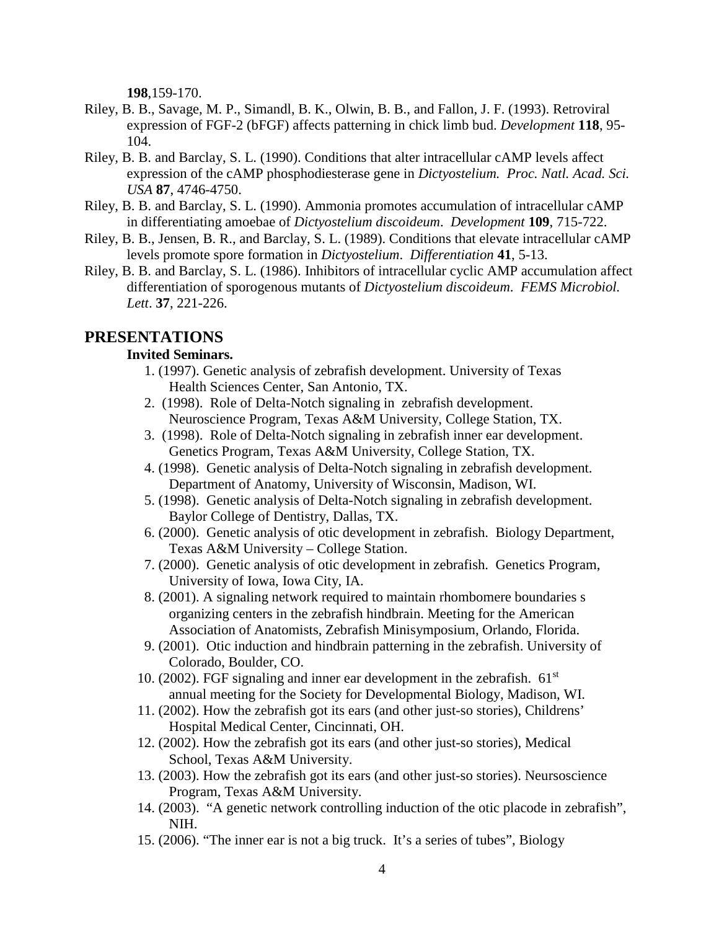**198**,159-170.

- Riley, B. B., Savage, M. P., Simandl, B. K., Olwin, B. B., and Fallon, J. F. (1993). Retroviral expression of FGF-2 (bFGF) affects patterning in chick limb bud. *Development* **118**, 95- 104.
- Riley, B. B. and Barclay, S. L. (1990). Conditions that alter intracellular cAMP levels affect expression of the cAMP phosphodiesterase gene in *Dictyostelium. Proc. Natl. Acad. Sci. USA* **87**, 4746-4750.
- Riley, B. B. and Barclay, S. L. (1990). Ammonia promotes accumulation of intracellular cAMP in differentiating amoebae of *Dictyostelium discoideum*. *Development* **109**, 715-722.
- Riley, B. B., Jensen, B. R., and Barclay, S. L. (1989). Conditions that elevate intracellular cAMP levels promote spore formation in *Dictyostelium*. *Differentiation* **41**, 5-13.
- Riley, B. B. and Barclay, S. L. (1986). Inhibitors of intracellular cyclic AMP accumulation affect differentiation of sporogenous mutants of *Dictyostelium discoideum*. *FEMS Microbiol. Lett*. **37**, 221-226.

## **PRESENTATIONS**

### **Invited Seminars.**

- 1. (1997). Genetic analysis of zebrafish development. University of Texas Health Sciences Center, San Antonio, TX.
- 2. (1998). Role of Delta-Notch signaling in zebrafish development. Neuroscience Program, Texas A&M University, College Station, TX.
- 3. (1998). Role of Delta-Notch signaling in zebrafish inner ear development. Genetics Program, Texas A&M University, College Station, TX.
- 4. (1998). Genetic analysis of Delta-Notch signaling in zebrafish development. Department of Anatomy, University of Wisconsin, Madison, WI.
- 5. (1998). Genetic analysis of Delta-Notch signaling in zebrafish development. Baylor College of Dentistry, Dallas, TX.
- 6. (2000). Genetic analysis of otic development in zebrafish. Biology Department, Texas A&M University – College Station.
- 7. (2000). Genetic analysis of otic development in zebrafish. Genetics Program, University of Iowa, Iowa City, IA.
- 8. (2001). A signaling network required to maintain rhombomere boundaries s organizing centers in the zebrafish hindbrain. Meeting for the American Association of Anatomists, Zebrafish Minisymposium, Orlando, Florida.
- 9. (2001). Otic induction and hindbrain patterning in the zebrafish. University of Colorado, Boulder, CO.
- 10. (2002). FGF signaling and inner ear development in the zebrafish.  $61<sup>st</sup>$ annual meeting for the Society for Developmental Biology, Madison, WI.
- 11. (2002). How the zebrafish got its ears (and other just-so stories), Childrens' Hospital Medical Center, Cincinnati, OH.
- 12. (2002). How the zebrafish got its ears (and other just-so stories), Medical School, Texas A&M University.
- 13. (2003). How the zebrafish got its ears (and other just-so stories). Neursoscience Program, Texas A&M University.
- 14. (2003). "A genetic network controlling induction of the otic placode in zebrafish", NIH.
- 15. (2006). "The inner ear is not a big truck. It's a series of tubes", Biology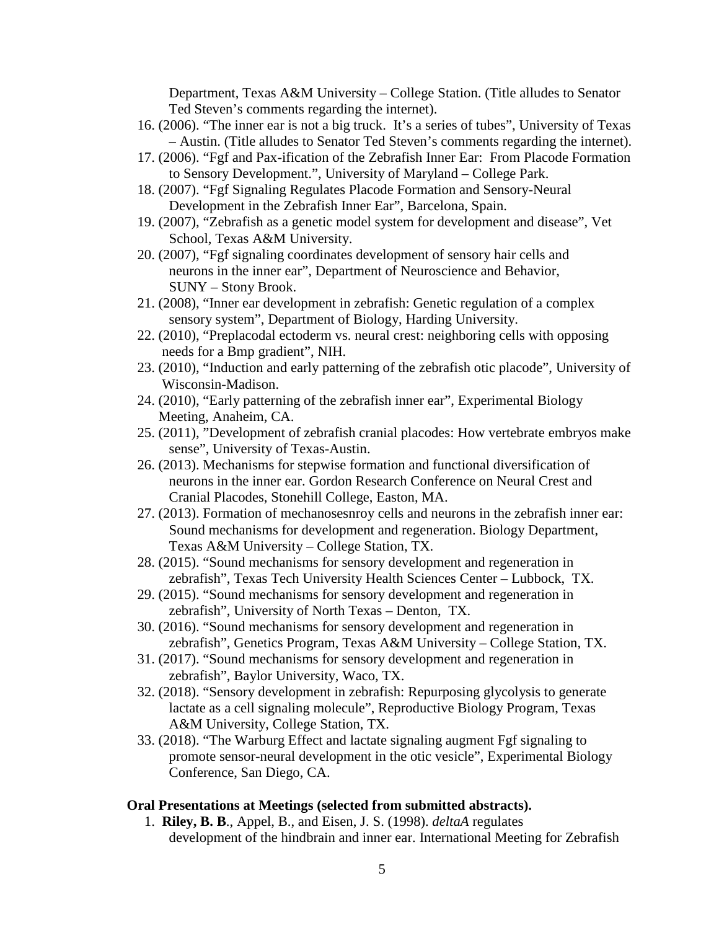Department, Texas A&M University – College Station. (Title alludes to Senator Ted Steven's comments regarding the internet).

- 16. (2006). "The inner ear is not a big truck. It's a series of tubes", University of Texas – Austin. (Title alludes to Senator Ted Steven's comments regarding the internet).
- 17. (2006). "Fgf and Pax-ification of the Zebrafish Inner Ear: From Placode Formation to Sensory Development.", University of Maryland – College Park.
- 18. (2007). "Fgf Signaling Regulates Placode Formation and Sensory-Neural Development in the Zebrafish Inner Ear", Barcelona, Spain.
- 19. (2007), "Zebrafish as a genetic model system for development and disease", Vet School, Texas A&M University.
- 20. (2007), "Fgf signaling coordinates development of sensory hair cells and neurons in the inner ear", Department of Neuroscience and Behavior, SUNY – Stony Brook.
- 21. (2008), "Inner ear development in zebrafish: Genetic regulation of a complex sensory system", Department of Biology, Harding University.
- 22. (2010), "Preplacodal ectoderm vs. neural crest: neighboring cells with opposing needs for a Bmp gradient", NIH.
- 23. (2010), "Induction and early patterning of the zebrafish otic placode", University of Wisconsin-Madison.
- 24. (2010), "Early patterning of the zebrafish inner ear", Experimental Biology Meeting, Anaheim, CA.
- 25. (2011), "Development of zebrafish cranial placodes: How vertebrate embryos make sense", University of Texas-Austin.
- 26. (2013). Mechanisms for stepwise formation and functional diversification of neurons in the inner ear. Gordon Research Conference on Neural Crest and Cranial Placodes, Stonehill College, Easton, MA.
- 27. (2013). Formation of mechanosesnroy cells and neurons in the zebrafish inner ear: Sound mechanisms for development and regeneration. Biology Department, Texas A&M University – College Station, TX.
- 28. (2015). "Sound mechanisms for sensory development and regeneration in zebrafish", Texas Tech University Health Sciences Center – Lubbock, TX.
- 29. (2015). "Sound mechanisms for sensory development and regeneration in zebrafish", University of North Texas – Denton, TX.
- 30. (2016). "Sound mechanisms for sensory development and regeneration in zebrafish", Genetics Program, Texas A&M University – College Station, TX.
- 31. (2017). "Sound mechanisms for sensory development and regeneration in zebrafish", Baylor University, Waco, TX.
- 32. (2018). "Sensory development in zebrafish: Repurposing glycolysis to generate lactate as a cell signaling molecule", Reproductive Biology Program, Texas A&M University, College Station, TX.
- 33. (2018). "The Warburg Effect and lactate signaling augment Fgf signaling to promote sensor-neural development in the otic vesicle", Experimental Biology Conference, San Diego, CA.

#### **Oral Presentations at Meetings (selected from submitted abstracts).**

 1. **Riley, B. B**., Appel, B., and Eisen, J. S. (1998). *deltaA* regulates development of the hindbrain and inner ear. International Meeting for Zebrafish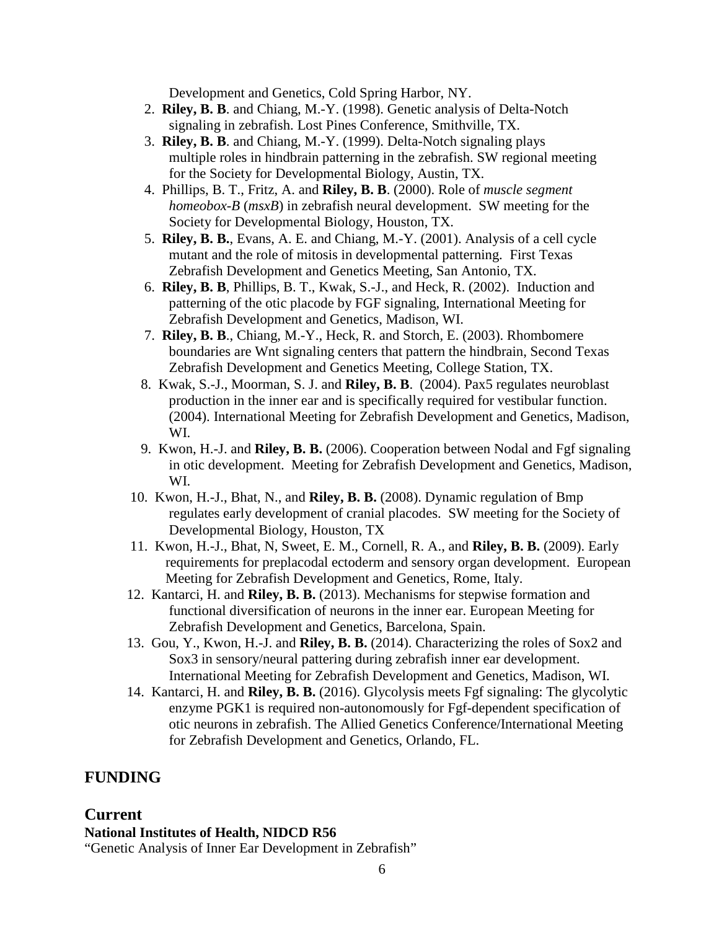Development and Genetics, Cold Spring Harbor, NY.

- 2. **Riley, B. B**. and Chiang, M.-Y. (1998). Genetic analysis of Delta-Notch signaling in zebrafish. Lost Pines Conference, Smithville, TX.
- 3. **Riley, B. B**. and Chiang, M.-Y. (1999). Delta-Notch signaling plays multiple roles in hindbrain patterning in the zebrafish. SW regional meeting for the Society for Developmental Biology, Austin, TX.
- 4. Phillips, B. T., Fritz, A. and **Riley, B. B**. (2000). Role of *muscle segment homeobox-B* (*msxB*) in zebrafish neural development. SW meeting for the Society for Developmental Biology, Houston, TX.
- 5. **Riley, B. B.**, Evans, A. E. and Chiang, M.-Y. (2001). Analysis of a cell cycle mutant and the role of mitosis in developmental patterning. First Texas Zebrafish Development and Genetics Meeting, San Antonio, TX.
- 6. **Riley, B. B**, Phillips, B. T., Kwak, S.-J., and Heck, R. (2002). Induction and patterning of the otic placode by FGF signaling, International Meeting for Zebrafish Development and Genetics, Madison, WI.
- 7. **Riley, B. B**., Chiang, M.-Y., Heck, R. and Storch, E. (2003). Rhombomere boundaries are Wnt signaling centers that pattern the hindbrain, Second Texas Zebrafish Development and Genetics Meeting, College Station, TX.
- 8. Kwak, S.-J., Moorman, S. J. and **Riley, B. B**. (2004). Pax5 regulates neuroblast production in the inner ear and is specifically required for vestibular function. (2004). International Meeting for Zebrafish Development and Genetics, Madison, WI.
- 9. Kwon, H.-J. and **Riley, B. B.** (2006). Cooperation between Nodal and Fgf signaling in otic development. Meeting for Zebrafish Development and Genetics, Madison, WI.
- 10. Kwon, H.-J., Bhat, N., and **Riley, B. B.** (2008). Dynamic regulation of Bmp regulates early development of cranial placodes. SW meeting for the Society of Developmental Biology, Houston, TX
- 11. Kwon, H.-J., Bhat, N, Sweet, E. M., Cornell, R. A., and **Riley, B. B.** (2009). Early requirements for preplacodal ectoderm and sensory organ development. European Meeting for Zebrafish Development and Genetics, Rome, Italy.
- 12. Kantarci, H. and **Riley, B. B.** (2013). Mechanisms for stepwise formation and functional diversification of neurons in the inner ear. European Meeting for Zebrafish Development and Genetics, Barcelona, Spain.
- 13. Gou, Y., Kwon, H.-J. and **Riley, B. B.** (2014). Characterizing the roles of Sox2 and Sox3 in sensory/neural pattering during zebrafish inner ear development. International Meeting for Zebrafish Development and Genetics, Madison, WI.
- 14. Kantarci, H. and **Riley, B. B.** (2016). Glycolysis meets Fgf signaling: The glycolytic enzyme PGK1 is required non-autonomously for Fgf-dependent specification of otic neurons in zebrafish. The Allied Genetics Conference/International Meeting for Zebrafish Development and Genetics, Orlando, FL.

# **FUNDING**

## **Current**

**National Institutes of Health, NIDCD R56**

"Genetic Analysis of Inner Ear Development in Zebrafish"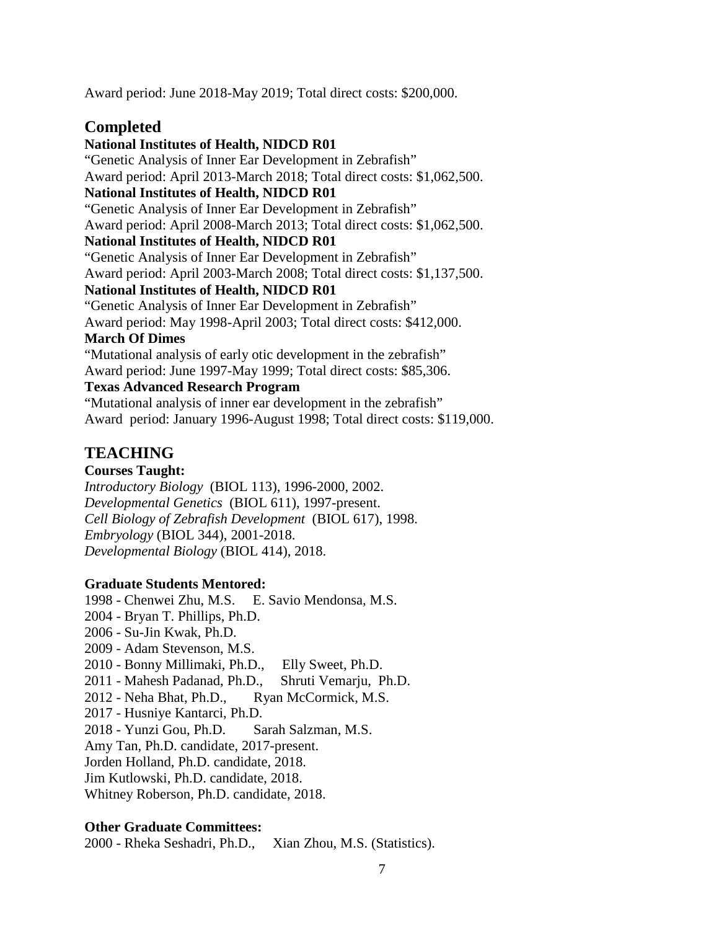Award period: June 2018-May 2019; Total direct costs: \$200,000.

# **Completed**

**National Institutes of Health, NIDCD R01** "Genetic Analysis of Inner Ear Development in Zebrafish" Award period: April 2013-March 2018; Total direct costs: \$1,062,500. **National Institutes of Health, NIDCD R01** "Genetic Analysis of Inner Ear Development in Zebrafish" Award period: April 2008-March 2013; Total direct costs: \$1,062,500. **National Institutes of Health, NIDCD R01** "Genetic Analysis of Inner Ear Development in Zebrafish" Award period: April 2003-March 2008; Total direct costs: \$1,137,500. **National Institutes of Health, NIDCD R01** "Genetic Analysis of Inner Ear Development in Zebrafish" Award period: May 1998-April 2003; Total direct costs: \$412,000. **March Of Dimes**  "Mutational analysis of early otic development in the zebrafish" Award period: June 1997-May 1999; Total direct costs: \$85,306. **Texas Advanced Research Program** "Mutational analysis of inner ear development in the zebrafish" Award period: January 1996-August 1998; Total direct costs: \$119,000.

## **TEACHING**

## **Courses Taught:**

*Introductory Biology* (BIOL 113), 1996-2000, 2002. *Developmental Genetics* (BIOL 611), 1997-present. *Cell Biology of Zebrafish Development* (BIOL 617), 1998. *Embryology* (BIOL 344), 2001-2018. *Developmental Biology* (BIOL 414), 2018.

### **Graduate Students Mentored:**

1998 - Chenwei Zhu, M.S. E. Savio Mendonsa, M.S. 2004 - Bryan T. Phillips, Ph.D. 2006 - Su-Jin Kwak, Ph.D. 2009 - Adam Stevenson, M.S. 2010 - Bonny Millimaki, Ph.D., Elly Sweet, Ph.D. 2011 - Mahesh Padanad, Ph.D., Shruti Vemarju, Ph.D. 2012 - Neha Bhat, Ph.D., Ryan McCormick, M.S. 2017 - Husniye Kantarci, Ph.D. 2018 - Yunzi Gou, Ph.D. Sarah Salzman, M.S. Amy Tan, Ph.D. candidate, 2017-present. Jorden Holland, Ph.D. candidate, 2018. Jim Kutlowski, Ph.D. candidate, 2018. Whitney Roberson, Ph.D. candidate, 2018.

### **Other Graduate Committees:**

2000 - Rheka Seshadri, Ph.D., Xian Zhou, M.S. (Statistics).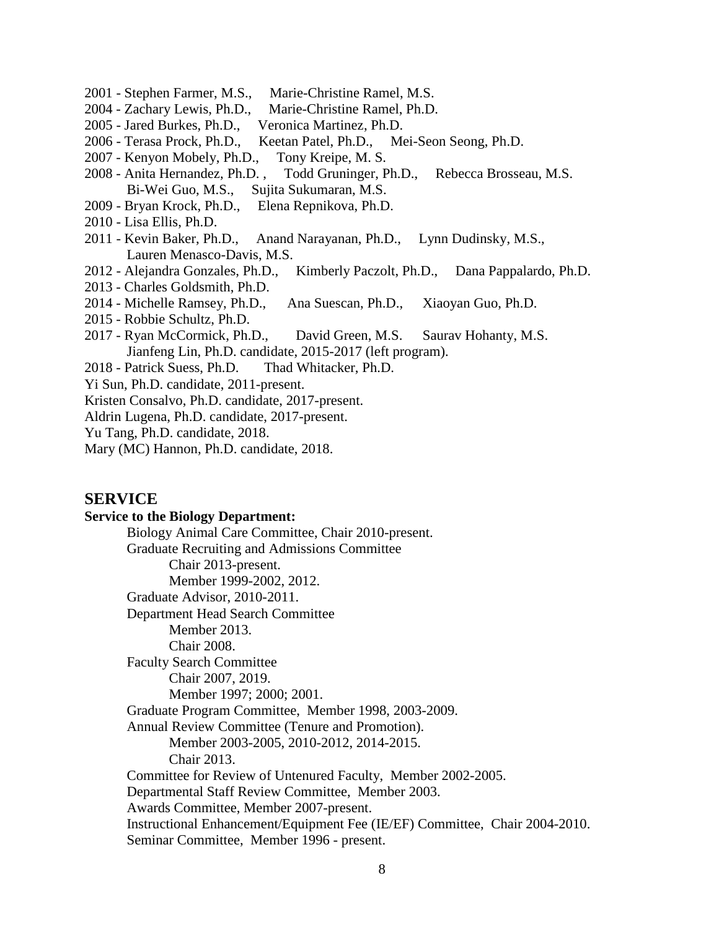- 2001 Stephen Farmer, M.S., Marie-Christine Ramel, M.S.
- 2004 Zachary Lewis, Ph.D., Marie-Christine Ramel, Ph.D.
- 2005 Jared Burkes, Ph.D., Veronica Martinez, Ph.D.
- 2006 Terasa Prock, Ph.D., Keetan Patel, Ph.D., Mei-Seon Seong, Ph.D.
- 2007 Kenyon Mobely, Ph.D., Tony Kreipe, M. S.
- 2008 Anita Hernandez, Ph.D. , Todd Gruninger, Ph.D., Rebecca Brosseau, M.S. Bi-Wei Guo, M.S., Sujita Sukumaran, M.S.
- 2009 Bryan Krock, Ph.D., Elena Repnikova, Ph.D.
- 2010 Lisa Ellis, Ph.D.
- 2011 Kevin Baker, Ph.D., Anand Narayanan, Ph.D., Lynn Dudinsky, M.S., Lauren Menasco-Davis, M.S.
- 2012 Alejandra Gonzales, Ph.D., Kimberly Paczolt, Ph.D., Dana Pappalardo, Ph.D.
- 2013 Charles Goldsmith, Ph.D.
- 2014 Michelle Ramsey, Ph.D., Ana Suescan, Ph.D., Xiaoyan Guo, Ph.D.
- 2015 Robbie Schultz, Ph.D.
- 2017 Ryan McCormick, Ph.D., David Green, M.S. Saurav Hohanty, M.S. Jianfeng Lin, Ph.D. candidate, 2015-2017 (left program).
- 2018 Patrick Suess, Ph.D. Thad Whitacker, Ph.D.
- Yi Sun, Ph.D. candidate, 2011-present.
- Kristen Consalvo, Ph.D. candidate, 2017-present.
- Aldrin Lugena, Ph.D. candidate, 2017-present.
- Yu Tang, Ph.D. candidate, 2018.
- Mary (MC) Hannon, Ph.D. candidate, 2018.

### **SERVICE**

#### **Service to the Biology Department:**

Biology Animal Care Committee, Chair 2010-present. Graduate Recruiting and Admissions Committee Chair 2013-present. Member 1999-2002, 2012. Graduate Advisor, 2010-2011. Department Head Search Committee Member 2013. Chair 2008. Faculty Search Committee Chair 2007, 2019. Member 1997; 2000; 2001. Graduate Program Committee, Member 1998, 2003-2009. Annual Review Committee (Tenure and Promotion). Member 2003-2005, 2010-2012, 2014-2015. Chair 2013. Committee for Review of Untenured Faculty, Member 2002-2005. Departmental Staff Review Committee, Member 2003. Awards Committee, Member 2007-present. Instructional Enhancement/Equipment Fee (IE/EF) Committee, Chair 2004-2010. Seminar Committee, Member 1996 - present.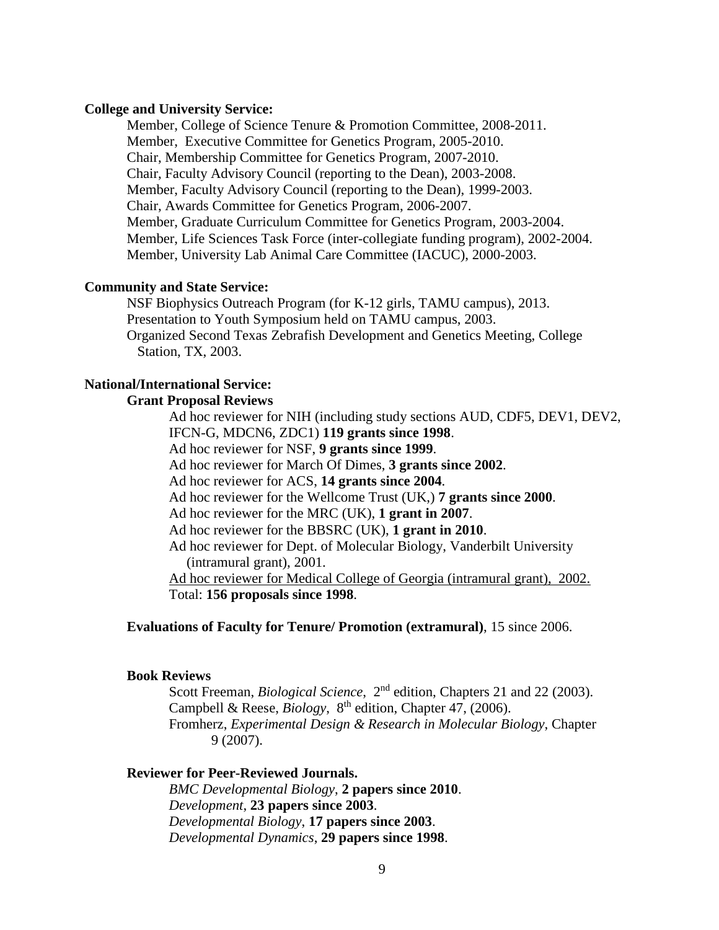#### **College and University Service:**

Member, College of Science Tenure & Promotion Committee, 2008-2011. Member, Executive Committee for Genetics Program, 2005-2010. Chair, Membership Committee for Genetics Program, 2007-2010. Chair, Faculty Advisory Council (reporting to the Dean), 2003-2008. Member, Faculty Advisory Council (reporting to the Dean), 1999-2003. Chair, Awards Committee for Genetics Program, 2006-2007. Member, Graduate Curriculum Committee for Genetics Program, 2003-2004. Member, Life Sciences Task Force (inter-collegiate funding program), 2002-2004. Member, University Lab Animal Care Committee (IACUC), 2000-2003.

### **Community and State Service:**

NSF Biophysics Outreach Program (for K-12 girls, TAMU campus), 2013. Presentation to Youth Symposium held on TAMU campus, 2003. Organized Second Texas Zebrafish Development and Genetics Meeting, College Station, TX, 2003.

### **National/International Service:**

### **Grant Proposal Reviews**

Ad hoc reviewer for NIH (including study sections AUD, CDF5, DEV1, DEV2, IFCN-G, MDCN6, ZDC1) **119 grants since 1998**.

Ad hoc reviewer for NSF, **9 grants since 1999**.

Ad hoc reviewer for March Of Dimes, **3 grants since 2002**.

Ad hoc reviewer for ACS, **14 grants since 2004**.

Ad hoc reviewer for the Wellcome Trust (UK,) **7 grants since 2000**.

Ad hoc reviewer for the MRC (UK), **1 grant in 2007**.

Ad hoc reviewer for the BBSRC (UK), **1 grant in 2010**.

Ad hoc reviewer for Dept. of Molecular Biology, Vanderbilt University (intramural grant), 2001.

Ad hoc reviewer for Medical College of Georgia (intramural grant), 2002. Total: **156 proposals since 1998**.

#### **Evaluations of Faculty for Tenure/ Promotion (extramural)**, 15 since 2006.

#### **Book Reviews**

Scott Freeman, *Biological Science*, 2<sup>nd</sup> edition, Chapters 21 and 22 (2003). Campbell & Reese, *Biology*, 8<sup>th</sup> edition, Chapter 47, (2006). Fromherz, *Experimental Design & Research in Molecular Biology*, Chapter 9 (2007).

#### **Reviewer for Peer-Reviewed Journals.**

*BMC Developmental Biology*, **2 papers since 2010**. *Development*, **23 papers since 2003**. *Developmental Biology*, **17 papers since 2003**. *Developmental Dynamics*, **29 papers since 1998**.